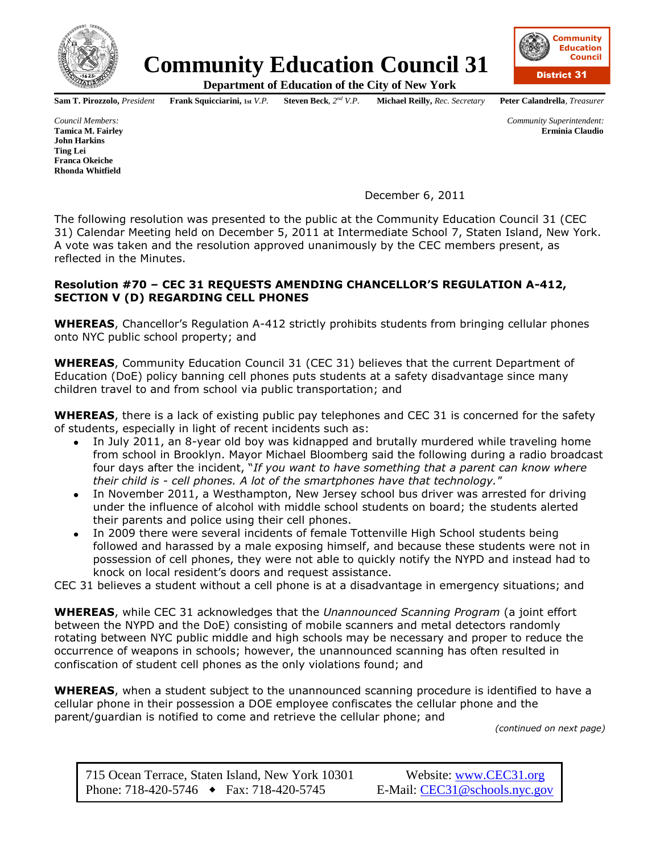

## **Community Education Council 31**

**Department of Education of the City of New York**

**Sam T. Pirozzolo,** President **Frank Squicciarini, 1st** *V.P.* **Steven Beck**,  $2^{nd}$  *V.P.* 

*nd V.P.* **Michael Reilly,** *Rec. Secretary* **Peter Calandrella***, Treasurer*

*Council Members: Community Superintendent:* **Tamica M. Fairley Erminia Claudio**

**John Harkins Ting Lei Franca Okeiche Rhonda Whitfield**

December 6, 2011

The following resolution was presented to the public at the Community Education Council 31 (CEC 31) Calendar Meeting held on December 5, 2011 at Intermediate School 7, Staten Island, New York. A vote was taken and the resolution approved unanimously by the CEC members present, as reflected in the Minutes.

## **Resolution #70 – CEC 31 REQUESTS AMENDING CHANCELLOR'S REGULATION A-412, SECTION V (D) REGARDING CELL PHONES**

**WHEREAS**, Chancellor's Regulation A-412 strictly prohibits students from bringing cellular phones onto NYC public school property; and

**WHEREAS**, Community Education Council 31 (CEC 31) believes that the current Department of Education (DoE) policy banning cell phones puts students at a safety disadvantage since many children travel to and from school via public transportation; and

**WHEREAS**, there is a lack of existing public pay telephones and CEC 31 is concerned for the safety of students, especially in light of recent incidents such as:

- In July 2011, an 8-year old boy was kidnapped and brutally murdered while traveling home from school in Brooklyn. Mayor Michael Bloomberg said the following during a radio broadcast four days after the incident, "*If you want to have something that a parent can know where their child is - cell phones. A lot of the smartphones have that technology."*
- In November 2011, a Westhampton, New Jersey school bus driver was arrested for driving  $\bullet$ under the influence of alcohol with middle school students on board; the students alerted their parents and police using their cell phones.
- In 2009 there were several incidents of female Tottenville High School students being followed and harassed by a male exposing himself, and because these students were not in possession of cell phones, they were not able to quickly notify the NYPD and instead had to knock on local resident's doors and request assistance.

CEC 31 believes a student without a cell phone is at a disadvantage in emergency situations; and

**WHEREAS**, while CEC 31 acknowledges that the *Unannounced Scanning Program* (a joint effort between the NYPD and the DoE) consisting of mobile scanners and metal detectors randomly rotating between NYC public middle and high schools may be necessary and proper to reduce the occurrence of weapons in schools; however, the unannounced scanning has often resulted in confiscation of student cell phones as the only violations found; and

**WHEREAS**, when a student subject to the unannounced scanning procedure is identified to have a cellular phone in their possession a DOE employee confiscates the cellular phone and the parent/guardian is notified to come and retrieve the cellular phone; and

*(continued on next page)*

715 Ocean Terrace, Staten Island, New York 10301 Website: [www.CEC31.org](http://www.cec31.org/) Phone: 718-420-5746 Fax: 718-420-5745 E-Mail: [CEC31@schools.nyc.gov](mailto:CEC31@schools.nyc.gov)